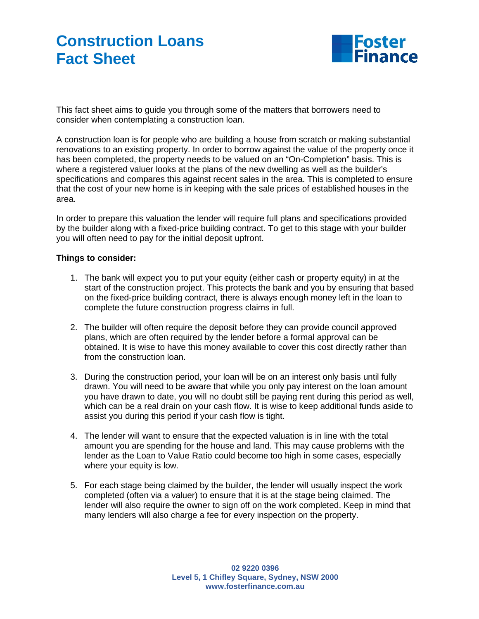## **Construction Loans Fact Sheet**



This fact sheet aims to guide you through some of the matters that borrowers need to consider when contemplating a construction loan.

A construction loan is for people who are building a house from scratch or making substantial renovations to an existing property. In order to borrow against the value of the property once it has been completed, the property needs to be valued on an "On-Completion" basis. This is where a registered valuer looks at the plans of the new dwelling as well as the builder's specifications and compares this against recent sales in the area. This is completed to ensure that the cost of your new home is in keeping with the sale prices of established houses in the area.

In order to prepare this valuation the lender will require full plans and specifications provided by the builder along with a fixed-price building contract. To get to this stage with your builder you will often need to pay for the initial deposit upfront.

## **Things to consider:**

- 1. The bank will expect you to put your equity (either cash or property equity) in at the start of the construction project. This protects the bank and you by ensuring that based on the fixed-price building contract, there is always enough money left in the loan to complete the future construction progress claims in full.
- 2. The builder will often require the deposit before they can provide council approved plans, which are often required by the lender before a formal approval can be obtained. It is wise to have this money available to cover this cost directly rather than from the construction loan.
- 3. During the construction period, your loan will be on an interest only basis until fully drawn. You will need to be aware that while you only pay interest on the loan amount you have drawn to date, you will no doubt still be paying rent during this period as well, which can be a real drain on your cash flow. It is wise to keep additional funds aside to assist you during this period if your cash flow is tight.
- 4. The lender will want to ensure that the expected valuation is in line with the total amount you are spending for the house and land. This may cause problems with the lender as the Loan to Value Ratio could become too high in some cases, especially where your equity is low.
- 5. For each stage being claimed by the builder, the lender will usually inspect the work completed (often via a valuer) to ensure that it is at the stage being claimed. The lender will also require the owner to sign off on the work completed. Keep in mind that many lenders will also charge a fee for every inspection on the property.